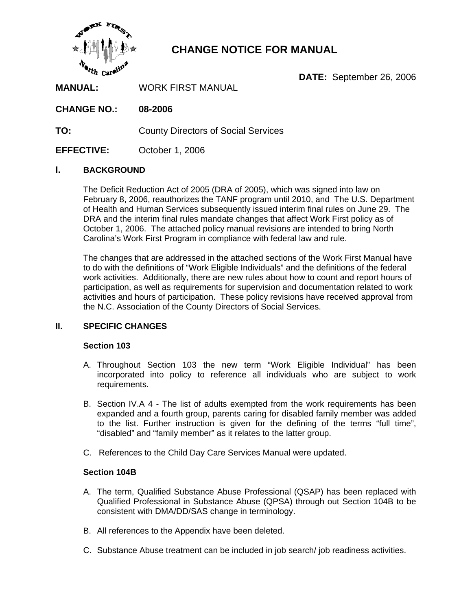

# **CHANGE NOTICE FOR MANUAL**

**DATE:** September 26, 2006

**MANUAL:** WORK FIRST MANUAL

**CHANGE NO.: 08-2006**

**TO:** County Directors of Social Services

**EFFECTIVE:** October 1, 2006

## **I. BACKGROUND**

The Deficit Reduction Act of 2005 (DRA of 2005), which was signed into law on February 8, 2006, reauthorizes the TANF program until 2010, and The U.S. Department of Health and Human Services subsequently issued interim final rules on June 29. The DRA and the interim final rules mandate changes that affect Work First policy as of October 1, 2006. The attached policy manual revisions are intended to bring North Carolina's Work First Program in compliance with federal law and rule.

The changes that are addressed in the attached sections of the Work First Manual have to do with the definitions of "Work Eligible Individuals" and the definitions of the federal work activities. Additionally, there are new rules about how to count and report hours of participation, as well as requirements for supervision and documentation related to work activities and hours of participation. These policy revisions have received approval from the N.C. Association of the County Directors of Social Services.

## **II. SPECIFIC CHANGES**

#### **Section 103**

- A. Throughout Section 103 the new term "Work Eligible Individual" has been incorporated into policy to reference all individuals who are subject to work requirements.
- B. Section IV.A 4 The list of adults exempted from the work requirements has been expanded and a fourth group, parents caring for disabled family member was added to the list. Further instruction is given for the defining of the terms "full time", "disabled" and "family member" as it relates to the latter group.
- C. References to the Child Day Care Services Manual were updated.

#### **Section 104B**

- A. The term, Qualified Substance Abuse Professional (QSAP) has been replaced with Qualified Professional in Substance Abuse (QPSA) through out Section 104B to be consistent with DMA/DD/SAS change in terminology.
- B. All references to the Appendix have been deleted.
- C. Substance Abuse treatment can be included in job search/ job readiness activities.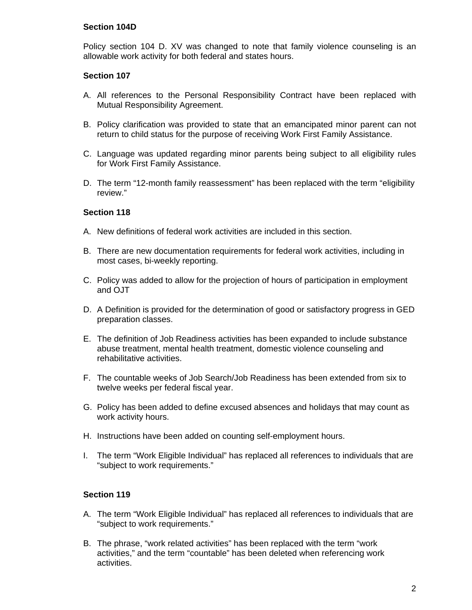## **Section 104D**

Policy section 104 D. XV was changed to note that family violence counseling is an allowable work activity for both federal and states hours.

## **Section 107**

- A. All references to the Personal Responsibility Contract have been replaced with Mutual Responsibility Agreement.
- B. Policy clarification was provided to state that an emancipated minor parent can not return to child status for the purpose of receiving Work First Family Assistance.
- C. Language was updated regarding minor parents being subject to all eligibility rules for Work First Family Assistance.
- D. The term "12-month family reassessment" has been replaced with the term "eligibility review."

## **Section 118**

- A. New definitions of federal work activities are included in this section.
- B. There are new documentation requirements for federal work activities, including in most cases, bi-weekly reporting.
- C. Policy was added to allow for the projection of hours of participation in employment and OJT
- D. A Definition is provided for the determination of good or satisfactory progress in GED preparation classes.
- E. The definition of Job Readiness activities has been expanded to include substance abuse treatment, mental health treatment, domestic violence counseling and rehabilitative activities.
- F. The countable weeks of Job Search/Job Readiness has been extended from six to twelve weeks per federal fiscal year.
- G. Policy has been added to define excused absences and holidays that may count as work activity hours.
- H. Instructions have been added on counting self-employment hours.
- I. The term "Work Eligible Individual" has replaced all references to individuals that are "subject to work requirements."

#### **Section 119**

- A. The term "Work Eligible Individual" has replaced all references to individuals that are "subject to work requirements."
- B. The phrase, "work related activities" has been replaced with the term "work activities," and the term "countable" has been deleted when referencing work activities.